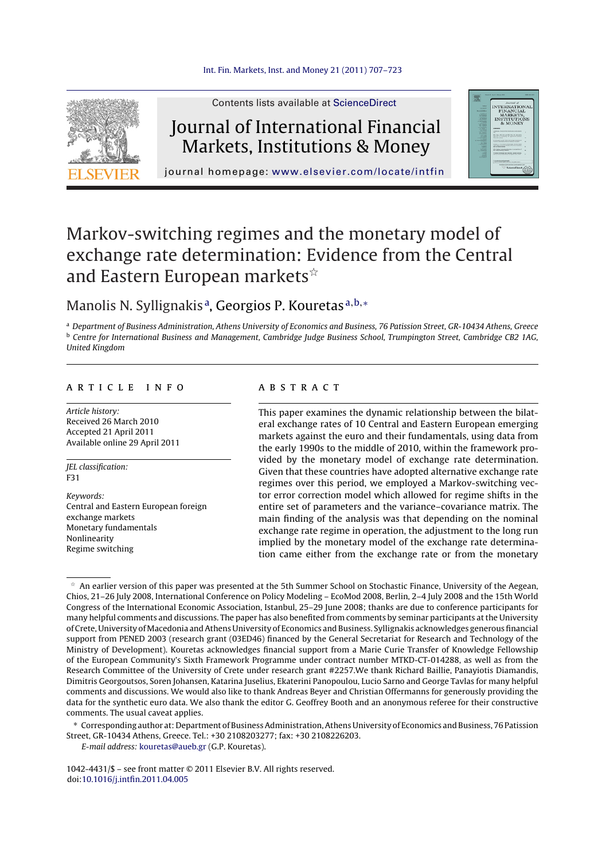

Contents lists available at [ScienceDirect](http://www.sciencedirect.com/science/journal/10424431)

# Journal of International Financial Markets, Institutions & Money



journal homepage: [www.elsevier.com/locate/intfin](http://www.elsevier.com/locate/intfin)

# Markov-switching regimes and the monetary model of exchange rate determination: Evidence from the Central and Eastern European markets $^{\star}$

### Manolis N. Syllignakis<sup>a</sup>, Georgios P. Kouretas<sup>a, b,∗</sup>

a Department of Business Administration, Athens University of Economics and Business, 76 Patission Street, GR-10434 Athens, Greece b Centre for International Business and Management, Cambridge Judge Business School, Trumpington Street, Cambridge CB2 1AG, United Kingdom

#### a r t i c l e i n f o

Article history: Received 26 March 2010 Accepted 21 April 2011 Available online 29 April 2011

JEL classification: F31

Keywords: Central and Eastern European foreign exchange markets Monetary fundamentals Nonlinearity Regime switching

#### a b s t r a c t

This paper examines the dynamic relationship between the bilateral exchange rates of 10 Central and Eastern European emerging markets against the euro and their fundamentals, using data from the early 1990s to the middle of 2010, within the framework provided by the monetary model of exchange rate determination. Given that these countries have adopted alternative exchange rate regimes over this period, we employed a Markov-switching vector error correction model which allowed for regime shifts in the entire set of parameters and the variance–covariance matrix. The main finding of the analysis was that depending on the nominal exchange rate regime in operation, the adjustment to the long run implied by the monetary model of the exchange rate determination came either from the exchange rate or from the monetary

∗ Corresponding author at: Department ofBusinessAdministration,Athens University of Economics andBusiness, 76 Patission Street, GR-10434 Athens, Greece. Tel.: +30 2108203277; fax: +30 2108226203.

E-mail address: [kouretas@aueb.gr](mailto:kouretas@aueb.gr) (G.P. Kouretas).

1042-4431/\$ – see front matter © 2011 Elsevier B.V. All rights reserved. doi:[10.1016/j.intfin.2011.04.005](dx.doi.org/10.1016/j.intfin.2011.04.005)

 $*$  An earlier version of this paper was presented at the 5th Summer School on Stochastic Finance, University of the Aegean, Chios, 21–26 July 2008, International Conference on Policy Modeling – EcoMod 2008, Berlin, 2–4 July 2008 and the 15th World Congress of the International Economic Association, Istanbul, 25–29 June 2008; thanks are due to conference participants for many helpful comments and discussions. The paper has also benefited from comments by seminar participants atthe University of Crete, University ofMacedonia andAthens University of Economics and Business. Syllignakis acknowledges generousfinancial support from PENED 2003 (research grant (03ED46) financed by the General Secretariat for Research and Technology of the Ministry of Development). Kouretas acknowledges financial support from a Marie Curie Transfer of Knowledge Fellowship of the European Community's Sixth Framework Programme under contract number MTKD-CT-014288, as well as from the Research Committee of the University of Crete under research grant #2257.We thank Richard Baillie, Panayiotis Diamandis, Dimitris Georgoutsos, Soren Johansen, Katarina Juselius, Ekaterini Panopoulou, Lucio Sarno and George Tavlas for many helpful comments and discussions. We would also like to thank Andreas Beyer and Christian Offermanns for generously providing the data for the synthetic euro data. We also thank the editor G. Geoffrey Booth and an anonymous referee for their constructive comments. The usual caveat applies.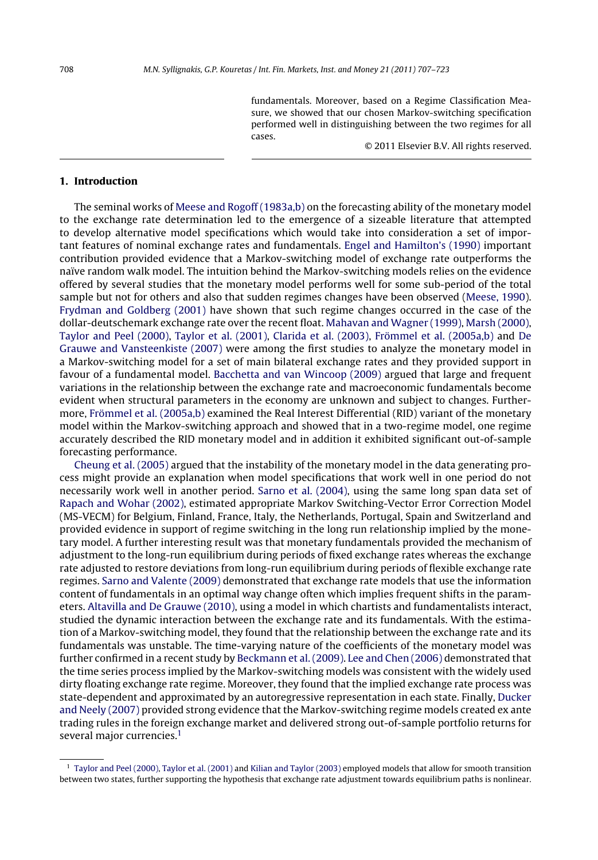fundamentals. Moreover, based on a Regime Classification Measure, we showed that our chosen Markov-switching specification performed well in distinguishing between the two regimes for all cases.

© 2011 Elsevier B.V. All rights reserved.

#### **1. Introduction**

The seminal works of [Meese](#page--1-0) [and](#page--1-0) [Rogoff](#page--1-0) [\(1983a,b\)](#page--1-0) on the forecasting ability of the monetary model to the exchange rate determination led to the emergence of a sizeable literature that attempted to develop alternative model specifications which would take into consideration a set of important features of nominal exchange rates and fundamentals. [Engel](#page--1-0) [and](#page--1-0) [Hamilton's](#page--1-0) [\(1990\)](#page--1-0) important contribution provided evidence that a Markov-switching model of exchange rate outperforms the naïve random walk model. The intuition behind the Markov-switching models relies on the evidence offered by several studies that the monetary model performs well for some sub-period of the total sample but not for others and also that sudden regimes changes have been observed [\(Meese,](#page--1-0) [1990\).](#page--1-0) [Frydman](#page--1-0) [and](#page--1-0) [Goldberg](#page--1-0) [\(2001\)](#page--1-0) have shown that such regime changes occurred in the case of the dollar-deutschemark exchange rate over the recent float. [Mahavan](#page--1-0) [and](#page--1-0) [Wagner](#page--1-0) [\(1999\),](#page--1-0) [Marsh](#page--1-0) [\(2000\),](#page--1-0) [Taylor](#page--1-0) [and](#page--1-0) [Peel](#page--1-0) [\(2000\),](#page--1-0) [Taylor](#page--1-0) et [al.](#page--1-0) [\(2001\),](#page--1-0) [Clarida](#page--1-0) et [al.](#page--1-0) [\(2003\),](#page--1-0) [Frömmel](#page--1-0) et [al.](#page--1-0) [\(2005a,b\)](#page--1-0) and [De](#page--1-0) [Grauwe](#page--1-0) [and](#page--1-0) [Vansteenkiste](#page--1-0) [\(2007\)](#page--1-0) were among the first studies to analyze the monetary model in a Markov-switching model for a set of main bilateral exchange rates and they provided support in favour of a fundamental model. [Bacchetta](#page--1-0) [and](#page--1-0) [van](#page--1-0) [Wincoop](#page--1-0) [\(2009\)](#page--1-0) argued that large and frequent variations in the relationship between the exchange rate and macroeconomic fundamentals become evident when structural parameters in the economy are unknown and subject to changes. Furthermore, [Frömmel](#page--1-0) et [al.](#page--1-0) [\(2005a,b\)](#page--1-0) examined the Real Interest Differential (RID) variant of the monetary model within the Markov-switching approach and showed that in a two-regime model, one regime accurately described the RID monetary model and in addition it exhibited significant out-of-sample forecasting performance.

[Cheung](#page--1-0) et [al.](#page--1-0) [\(2005\)](#page--1-0) argued that the instability of the monetary model in the data generating process might provide an explanation when model specifications that work well in one period do not necessarily work well in another period. [Sarno](#page--1-0) et [al.](#page--1-0) [\(2004\),](#page--1-0) using the same long span data set of [Rapach](#page--1-0) [and](#page--1-0) [Wohar](#page--1-0) [\(2002\),](#page--1-0) estimated appropriate Markov Switching-Vector Error Correction Model (MS-VECM) for Belgium, Finland, France, Italy, the Netherlands, Portugal, Spain and Switzerland and provided evidence in support of regime switching in the long run relationship implied by the monetary model. A further interesting result was that monetary fundamentals provided the mechanism of adjustment to the long-run equilibrium during periods of fixed exchange rates whereas the exchange rate adjusted to restore deviations from long-run equilibrium during periods of flexible exchange rate regimes. [Sarno](#page--1-0) [and](#page--1-0) [Valente](#page--1-0) [\(2009\)](#page--1-0) demonstrated that exchange rate models that use the information content of fundamentals in an optimal way change often which implies frequent shifts in the parameters. [Altavilla](#page--1-0) [and](#page--1-0) [De](#page--1-0) [Grauwe](#page--1-0) [\(2010\),](#page--1-0) using a model in which chartists and fundamentalists interact, studied the dynamic interaction between the exchange rate and its fundamentals. With the estimation of a Markov-switching model, they found that the relationship between the exchange rate and its fundamentals was unstable. The time-varying nature of the coefficients of the monetary model was further confirmed in a recent study by [Beckmann](#page--1-0) et [al.](#page--1-0) [\(2009\).](#page--1-0) [Lee](#page--1-0) [and](#page--1-0) [Chen](#page--1-0) [\(2006\)](#page--1-0) demonstrated that the time series process implied by the Markov-switching models was consistent with the widely used dirty floating exchange rate regime. Moreover, they found that the implied exchange rate process was state-dependent and approximated by an autoregressive representation in each state. Finally, [Ducker](#page--1-0) [and](#page--1-0) [Neely](#page--1-0) [\(2007\)](#page--1-0) provided strong evidence that the Markov-switching regime models created ex ante trading rules in the foreign exchange market and delivered strong out-of-sample portfolio returns for several major currencies.<sup>1</sup>

<sup>&</sup>lt;sup>1</sup> [Taylor](#page--1-0) [and](#page--1-0) [Peel](#page--1-0) [\(2000\),](#page--1-0) Taylor et [al.](#page--1-0) [\(2001\)](#page--1-0) and [Kilian](#page--1-0) and Taylor [\(2003\)](#page--1-0) employed models that allow for smooth transition between two states, further supporting the hypothesis that exchange rate adjustment towards equilibrium paths is nonlinear.